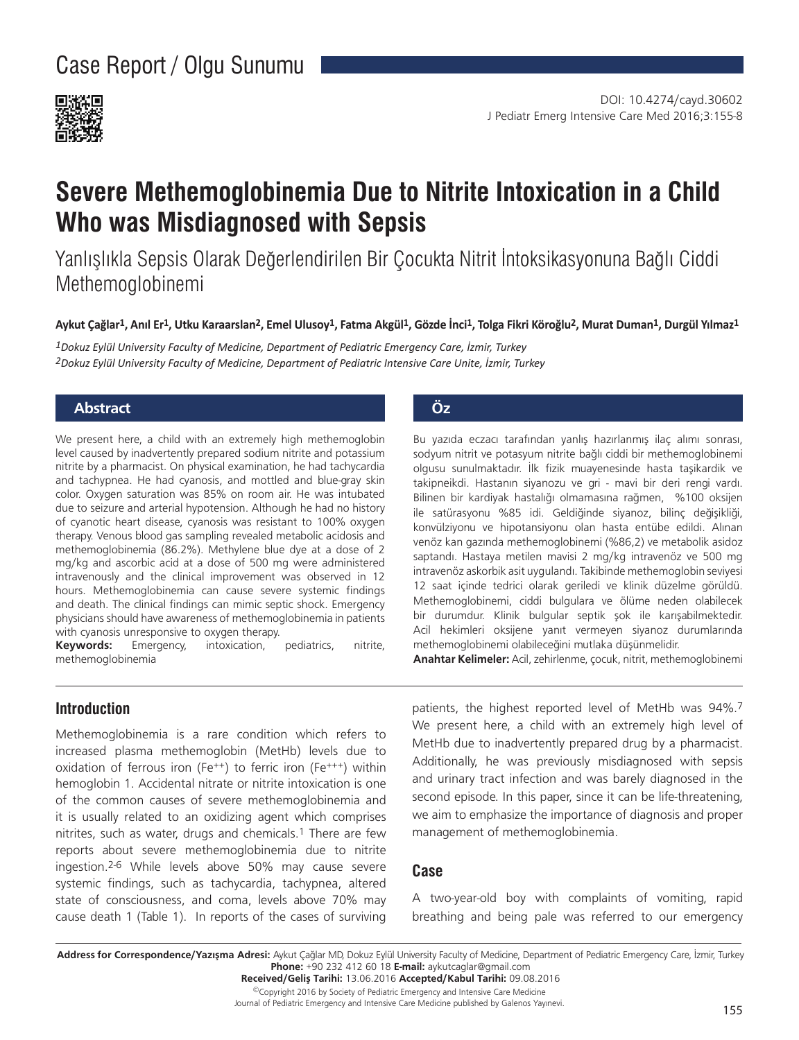

# **Severe Methemoglobinemia Due to Nitrite Intoxication in a Child Who was Misdiagnosed with Sepsis**

Yanlışlıkla Sepsis Olarak Değerlendirilen Bir Çocukta Nitrit İntoksikasyonuna Bağlı Ciddi Methemoglobinemi

Aykut Çağlar<sup>1</sup>, Anıl Er<sup>1</sup>, Utku Karaarslan<sup>2</sup>, Emel Ulusoy<sup>1</sup>, Fatma Akgül<sup>1</sup>, Gözde İnci<sup>1</sup>, Tolga Fikri Köroğlu<sup>2</sup>, Murat Duman<sup>1</sup>, Durgül Yılmaz<sup>1</sup>

*1Dokuz Eylül University Faculty of Medicine, Department of Pediatric Emergency Care, İzmir, Turkey 2Dokuz Eylül University Faculty of Medicine, Department of Pediatric Intensive Care Unite, İzmir, Turkey*

# **Abstract Öz**

We present here, a child with an extremely high methemoglobin level caused by inadvertently prepared sodium nitrite and potassium nitrite by a pharmacist. On physical examination, he had tachycardia and tachypnea. He had cyanosis, and mottled and blue-gray skin color. Oxygen saturation was 85% on room air. He was intubated due to seizure and arterial hypotension. Although he had no history of cyanotic heart disease, cyanosis was resistant to 100% oxygen therapy. Venous blood gas sampling revealed metabolic acidosis and methemoglobinemia (86.2%). Methylene blue dye at a dose of 2 mg/kg and ascorbic acid at a dose of 500 mg were administered intravenously and the clinical improvement was observed in 12 hours. Methemoglobinemia can cause severe systemic findings and death. The clinical findings can mimic septic shock. Emergency physicians should have awareness of methemoglobinemia in patients with cyanosis unresponsive to oxygen therapy.

**Keywords:** Emergency, intoxication, pediatrics, nitrite, methemoglobinemia

Bu yazıda eczacı tarafından yanlış hazırlanmış ilaç alımı sonrası, sodyum nitrit ve potasyum nitrite bağlı ciddi bir methemoglobinemi olgusu sunulmaktadır. İlk fizik muayenesinde hasta taşikardik ve takipneikdi. Hastanın siyanozu ve gri - mavi bir deri rengi vardı. Bilinen bir kardiyak hastalığı olmamasına rağmen, %100 oksijen ile satürasyonu %85 idi. Geldiğinde siyanoz, bilinç değişikliği, konvülziyonu ve hipotansiyonu olan hasta entübe edildi. Alınan venöz kan gazında methemoglobinemi (%86,2) ve metabolik asidoz saptandı. Hastaya metilen mavisi 2 mg/kg intravenöz ve 500 mg intravenöz askorbik asit uygulandı. Takibinde methemoglobin seviyesi 12 saat içinde tedrici olarak geriledi ve klinik düzelme görüldü. Methemoglobinemi, ciddi bulgulara ve ölüme neden olabilecek bir durumdur. Klinik bulgular septik şok ile karışabilmektedir. Acil hekimleri oksijene yanıt vermeyen siyanoz durumlarında methemoglobinemi olabileceğini mutlaka düşünmelidir.

**Anahtar Kelimeler:** Acil, zehirlenme, çocuk, nitrit, methemoglobinemi

# **Introduction**

Methemoglobinemia is a rare condition which refers to increased plasma methemoglobin (MetHb) levels due to oxidation of ferrous iron (Fe++) to ferric iron (Fe+++) within hemoglobin 1. Accidental nitrate or nitrite intoxication is one of the common causes of severe methemoglobinemia and it is usually related to an oxidizing agent which comprises nitrites, such as water, drugs and chemicals.1 There are few reports about severe methemoglobinemia due to nitrite ingestion.2-6 While levels above 50% may cause severe systemic findings, such as tachycardia, tachypnea, altered state of consciousness, and coma, levels above 70% may cause death 1 (Table 1). In reports of the cases of surviving

patients, the highest reported level of MetHb was 94%.7 We present here, a child with an extremely high level of MetHb due to inadvertently prepared drug by a pharmacist. Additionally, he was previously misdiagnosed with sepsis and urinary tract infection and was barely diagnosed in the second episode. In this paper, since it can be life-threatening, we aim to emphasize the importance of diagnosis and proper management of methemoglobinemia.

## **Case**

A two-year-old boy with complaints of vomiting, rapid breathing and being pale was referred to our emergency

**Address for Correspondence/Yazışma Adresi:** Aykut Çağlar MD, Dokuz Eylül University Faculty of Medicine, Department of Pediatric Emergency Care, İzmir, Turkey **Phone:** +90 232 412 60 18 **E-mail:** aykutcaglar@gmail.com

**Received/Geliş Tarihi:** 13.06.2016 **Accepted/Kabul Tarihi:** 09.08.2016 ©Copyright 2016 by Society of Pediatric Emergency and Intensive Care Medicine

Journal of Pediatric Emergency and Intensive Care Medicine published by Galenos Yayınevi.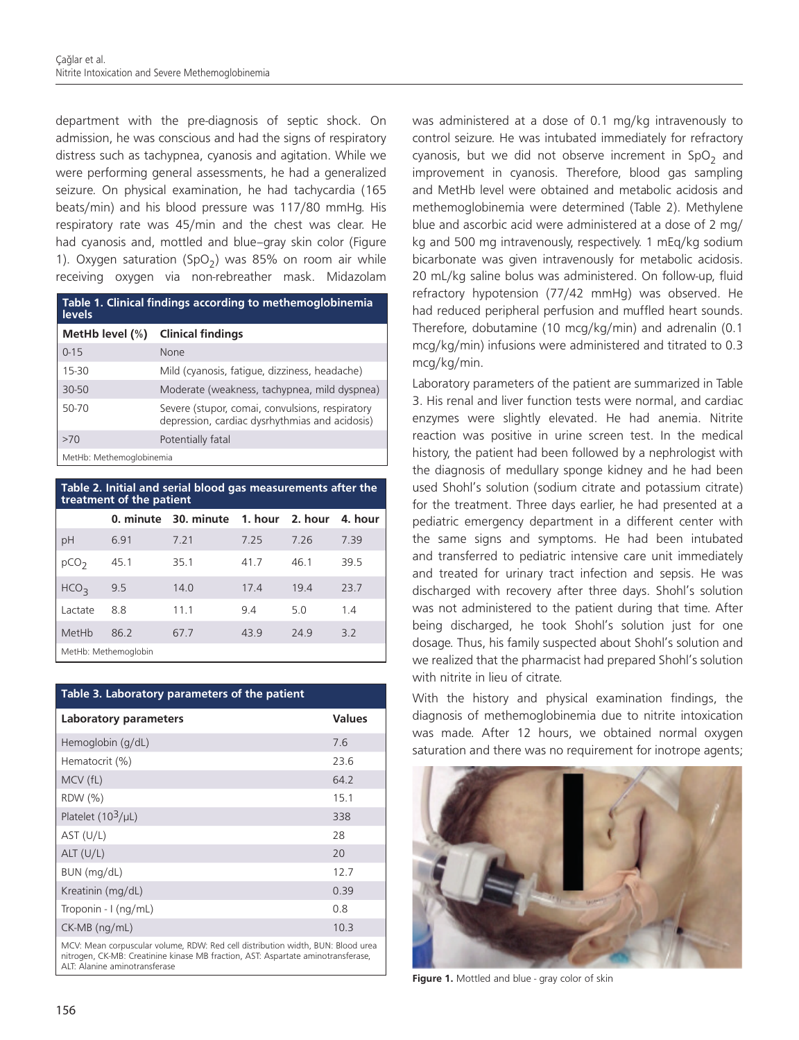department with the pre-diagnosis of septic shock. On admission, he was conscious and had the signs of respiratory distress such as tachypnea, cyanosis and agitation. While we were performing general assessments, he had a generalized seizure. On physical examination, he had tachycardia (165 beats/min) and his blood pressure was 117/80 mmHg. His respiratory rate was 45/min and the chest was clear. He had cyanosis and, mottled and blue–gray skin color (Figure 1). Oxygen saturation (SpO<sub>2</sub>) was 85% on room air while receiving oxygen via non-rebreather mask. Midazolam

| Table 1. Clinical findings according to methemoglobinemia<br>levels |                                                                                                   |  |
|---------------------------------------------------------------------|---------------------------------------------------------------------------------------------------|--|
| MetHb level $(\%)$                                                  | <b>Clinical findings</b>                                                                          |  |
| $0 - 15$                                                            | None                                                                                              |  |
| $15-30$                                                             | Mild (cyanosis, fatique, dizziness, headache)                                                     |  |
| $30 - 50$                                                           | Moderate (weakness, tachypnea, mild dyspnea)                                                      |  |
| 50-70                                                               | Severe (stupor, comai, convulsions, respiratory<br>depression, cardiac dysrhythmias and acidosis) |  |
| >70                                                                 | Potentially fatal                                                                                 |  |
| MetHb: Methemoglobinemia                                            |                                                                                                   |  |

**Table 2. Initial and serial blood gas measurements after the treatment of the patient 0. minute 30. minute 1. hour 2. hour 4. hour** pH 6.91 7.21 7.25 7.26 7.39 pCO<sub>2</sub> 45.1 35.1 41.7 46.1 39.5 HCO<sub>3</sub> 9.5 14.0 17.4 19.4 23.7 Lactate 8.8 11.1 9.4 5.0 1.4 MetHb 86.2 67.7 43.9 24.9 3.2 MetHb: Methemoglobin

### **Table 3. Laboratory parameters of the patient**

| <b>Laboratory parameters</b> | <b>Values</b> |
|------------------------------|---------------|
| Hemoglobin (g/dL)            | 7.6           |
| Hematocrit (%)               | 23.6          |
| MCV (fL)                     | 64.2          |
| RDW (%)                      | 15.1          |
| Platelet $(10^3/\mu L)$      | 338           |
| AST (U/L)                    | 28            |
| ALT (U/L)                    | 20            |
| BUN (mg/dL)                  | 12.7          |
| Kreatinin (mg/dL)            | 0.39          |
| Troponin - $I$ (ng/mL)       | 0.8           |
| CK-MB (ng/mL)                | 10.3          |

MCV: Mean corpuscular volume, RDW: Red cell distribution width, BUN: Blood urea nitrogen, CK-MB: Creatinine kinase MB fraction, AST: Aspartate aminotransferase, ALT: Alanine aminotransferase

was administered at a dose of 0.1 mg/kg intravenously to control seizure. He was intubated immediately for refractory cyanosis, but we did not observe increment in  $SpO<sub>2</sub>$  and improvement in cyanosis. Therefore, blood gas sampling and MetHb level were obtained and metabolic acidosis and methemoglobinemia were determined (Table 2). Methylene blue and ascorbic acid were administered at a dose of 2 mg/ kg and 500 mg intravenously, respectively. 1 mEq/kg sodium bicarbonate was given intravenously for metabolic acidosis. 20 mL/kg saline bolus was administered. On follow-up, fluid refractory hypotension (77/42 mmHg) was observed. He had reduced peripheral perfusion and muffled heart sounds. Therefore, dobutamine (10 mcg/kg/min) and adrenalin (0.1 mcg/kg/min) infusions were administered and titrated to 0.3 mcg/kg/min.

Laboratory parameters of the patient are summarized in Table 3. His renal and liver function tests were normal, and cardiac enzymes were slightly elevated. He had anemia. Nitrite reaction was positive in urine screen test. In the medical history, the patient had been followed by a nephrologist with the diagnosis of medullary sponge kidney and he had been used Shohl's solution (sodium citrate and potassium citrate) for the treatment. Three days earlier, he had presented at a pediatric emergency department in a different center with the same signs and symptoms. He had been intubated and transferred to pediatric intensive care unit immediately and treated for urinary tract infection and sepsis. He was discharged with recovery after three days. Shohl's solution was not administered to the patient during that time. After being discharged, he took Shohl's solution just for one dosage. Thus, his family suspected about Shohl's solution and we realized that the pharmacist had prepared Shohl's solution with nitrite in lieu of citrate.

With the history and physical examination findings, the diagnosis of methemoglobinemia due to nitrite intoxication was made. After 12 hours, we obtained normal oxygen saturation and there was no requirement for inotrope agents;



**Figure 1.** Mottled and blue - gray color of skin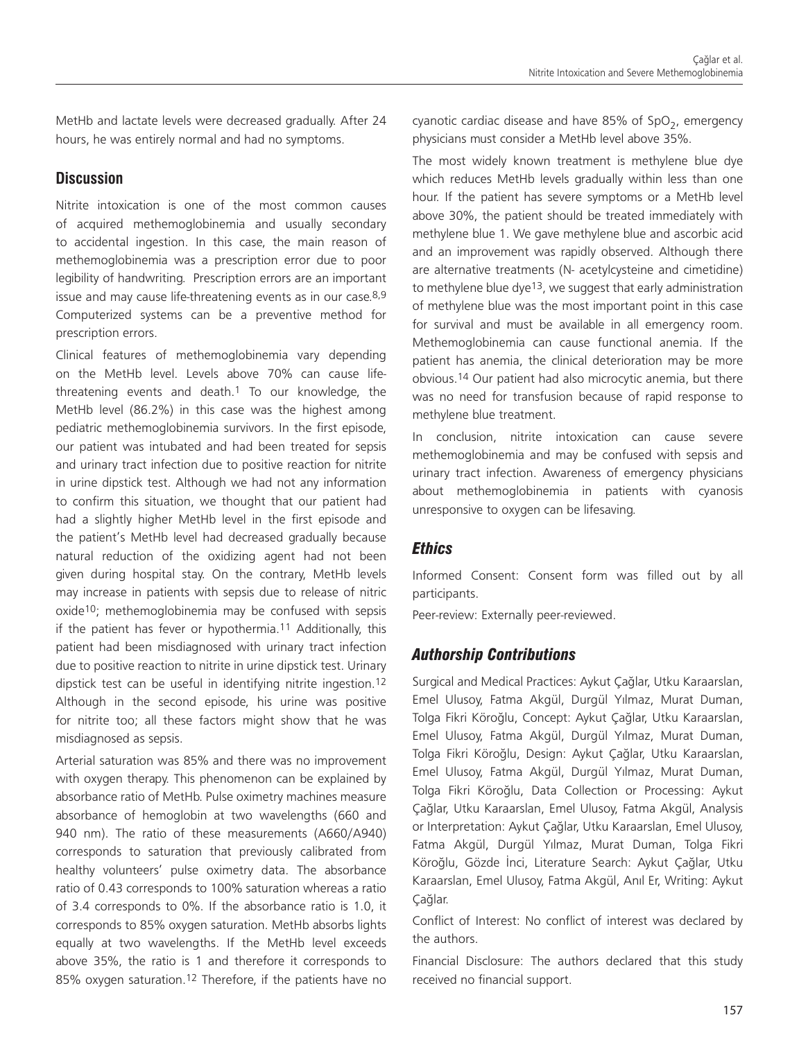MetHb and lactate levels were decreased gradually. After 24 hours, he was entirely normal and had no symptoms.

# **Discussion**

Nitrite intoxication is one of the most common causes of acquired methemoglobinemia and usually secondary to accidental ingestion. In this case, the main reason of methemoglobinemia was a prescription error due to poor legibility of handwriting. Prescription errors are an important issue and may cause life-threatening events as in our case.<sup>8,9</sup> Computerized systems can be a preventive method for prescription errors.

Clinical features of methemoglobinemia vary depending on the MetHb level. Levels above 70% can cause lifethreatening events and death.1 To our knowledge, the MetHb level (86.2%) in this case was the highest among pediatric methemoglobinemia survivors. In the first episode, our patient was intubated and had been treated for sepsis and urinary tract infection due to positive reaction for nitrite in urine dipstick test. Although we had not any information to confirm this situation, we thought that our patient had had a slightly higher MetHb level in the first episode and the patient's MetHb level had decreased gradually because natural reduction of the oxidizing agent had not been given during hospital stay. On the contrary, MetHb levels may increase in patients with sepsis due to release of nitric oxide10; methemoglobinemia may be confused with sepsis if the patient has fever or hypothermia.11 Additionally, this patient had been misdiagnosed with urinary tract infection due to positive reaction to nitrite in urine dipstick test. Urinary dipstick test can be useful in identifying nitrite ingestion.12 Although in the second episode, his urine was positive for nitrite too; all these factors might show that he was misdiagnosed as sepsis.

Arterial saturation was 85% and there was no improvement with oxygen therapy. This phenomenon can be explained by absorbance ratio of MetHb. Pulse oximetry machines measure absorbance of hemoglobin at two wavelengths (660 and 940 nm). The ratio of these measurements (A660/A940) corresponds to saturation that previously calibrated from healthy volunteers' pulse oximetry data. The absorbance ratio of 0.43 corresponds to 100% saturation whereas a ratio of 3.4 corresponds to 0%. If the absorbance ratio is 1.0, it corresponds to 85% oxygen saturation. MetHb absorbs lights equally at two wavelengths. If the MetHb level exceeds above 35%, the ratio is 1 and therefore it corresponds to 85% oxygen saturation.12 Therefore, if the patients have no cyanotic cardiac disease and have 85% of SpO<sub>2</sub>, emergency physicians must consider a MetHb level above 35%.

The most widely known treatment is methylene blue dye which reduces MetHb levels gradually within less than one hour. If the patient has severe symptoms or a MetHb level above 30%, the patient should be treated immediately with methylene blue 1. We gave methylene blue and ascorbic acid and an improvement was rapidly observed. Although there are alternative treatments (N- acetylcysteine and cimetidine) to methylene blue dye<sup>13</sup>, we suggest that early administration of methylene blue was the most important point in this case for survival and must be available in all emergency room. Methemoglobinemia can cause functional anemia. If the patient has anemia, the clinical deterioration may be more obvious.14 Our patient had also microcytic anemia, but there was no need for transfusion because of rapid response to methylene blue treatment.

In conclusion, nitrite intoxication can cause severe methemoglobinemia and may be confused with sepsis and urinary tract infection. Awareness of emergency physicians about methemoglobinemia in patients with cyanosis unresponsive to oxygen can be lifesaving.

# *Ethics*

Informed Consent: Consent form was filled out by all participants.

Peer-review: Externally peer-reviewed.

# *Authorship Contributions*

Surgical and Medical Practices: Aykut Çağlar, Utku Karaarslan, Emel Ulusoy, Fatma Akgül, Durgül Yılmaz, Murat Duman, Tolga Fikri Köroğlu, Concept: Aykut Çağlar, Utku Karaarslan, Emel Ulusoy, Fatma Akgül, Durgül Yılmaz, Murat Duman, Tolga Fikri Köroğlu, Design: Aykut Çağlar, Utku Karaarslan, Emel Ulusoy, Fatma Akgül, Durgül Yılmaz, Murat Duman, Tolga Fikri Köroğlu, Data Collection or Processing: Aykut Çağlar, Utku Karaarslan, Emel Ulusoy, Fatma Akgül, Analysis or Interpretation: Aykut Çağlar, Utku Karaarslan, Emel Ulusoy, Fatma Akgül, Durgül Yılmaz, Murat Duman, Tolga Fikri Köroğlu, Gözde İnci, Literature Search: Aykut Çağlar, Utku Karaarslan, Emel Ulusoy, Fatma Akgül, Anıl Er, Writing: Aykut Çağlar.

Conflict of Interest: No conflict of interest was declared by the authors.

Financial Disclosure: The authors declared that this study received no financial support.